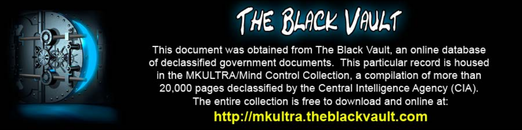

This document was obtained from The Black Vault, an online database of declassified government documents. This particular record is housed in the MKULTRA/Mind Control Collection, a compilation of more than 20,000 pages declassified by the Central Intelligence Agency (CIA). The entire collection is free to download and online at: http://mkultra.theblackvault.com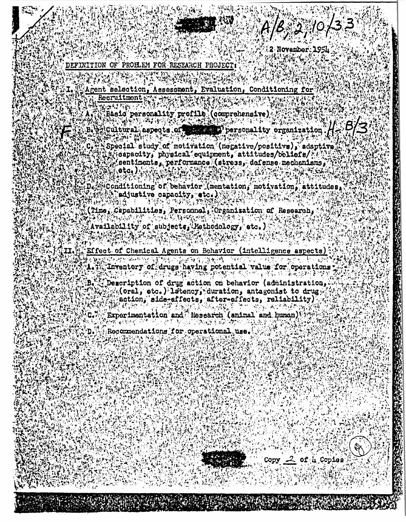2 November: 1954

DEFINITION OF PROELEM FOR RESEARCH PROJECT

Recruitment.

屬

Agent selection, Assessment, Evaluation, Conditioning for

**网络克朗拉** Basid personality profile (comprehensive).

gioultural aspects of  $\blacksquare$  ) personality organization  $H = \Theta/3$ 

 $\mathcal{L}$ Special study of motivation (negative/positive), adaptive capacity, physical equipment, attitudes/boliefs/ Asentiments, performance (stress, defense mechanisms, V CANA TAIM eta.):

SConditioning of behavior (mentation, motivation, attitudes, adjustive capacity, etc.)

(Time, Capabilities, Personnal, Organization of Research,

Availability of subjects, Mathodology, etc.)

 $5.13 \pm 1.7$ 

Effect of Chemical Agents on Behavior (intelligence aspects)

网络地区中的地名墨西哥河沿海的地名北美地势。 网络经济公司 化羟基丁烯 城里军 Inventory of drugs having potential value for operations A. Th

Description of drug action on behavior (administration. B. (Oral, etc.) latency, duration, antagonist to drug) action, alde-effects, after-effects, reliability)

Experimentation and "Research (animal and human) n.

Recommendations for operational use.

Copy  $2$  of  $\mu$  Copies.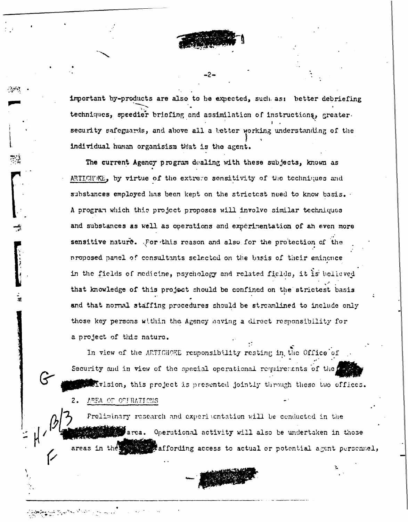important by-products are also to be expected, such as: better debriefing techniques, speedier briefing and assimilation of instructions, greater. security safeguards, and above all a better working understanding of the individual human organisism that is the agent.

The current Agency program dealing with these subjects, known as ARTICHVKE, by virtue of the extrere sensitivity of the techniques and substances employed has been kept on the strictest need to know basis. A program which this project proposes will involve similar techniques and substances as well as operations and experimentation of an even more sensitive nature. For this reason and also for the protection of the proposed panel of consultants selected on the basis of their eminence in the fields of medicine, psychology and related fields, it is believed that knowledge of this project should be confined on the strictest basis and that normal staffing procedures should be streamlined to include only those key persons within the Agency having a direct responsibility for a project of this nature.

In view of the ARTICHOKE responsibility resting in the Office of Security and in view of the special operational requirements of the Mvision, this project is presented jointly through these two offices.

AREA OF OFFRATIONS  $2.$ 

Preliminary research and experimentation will be conducted in the states area. Operational activity will also be undertaken in those areas in the affording access to actual or potential agent persennel,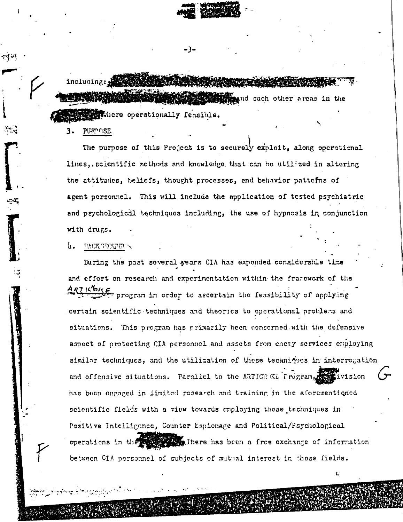strategy and such other areas in the withhere operationally feasible.

**PURPOSE** 

The purpose of this Project is to securely exploit, along operational lines, scientific methods and knowledge that can be utilized in altering the attitudes, beliefs, thought processes, and behavior pattefns of agent personnel. This will include the application of tested psychiatric and psychological techniques including, the use of hypnosis in conjunction with drugs.

## Ь. PACK GROUTH

During the past several years CIA has expended considerable time and effort on research and experimentation within the frarework of the ARTICONE program in order to ascertain the feasibility of applying certain scientific techniques and theorics to operational problems and situations. This program has primarily been concerned with the defensive aspect of protecting CIA personnel and assets from enemy services employing similar techniques, and the utilization of these techniques in interrogation and offensive situations. Parallel to the ARTICHOKL Program, tivision has been engaged in limited research and training in the aforementioned scientific fields with a view towards employing these techniques in Positive Intelligence, Counter Espionage and Political/Psychological operations in the state of There has been a free exchange of information between CIA personnel of subjects of mutual interest in these fields.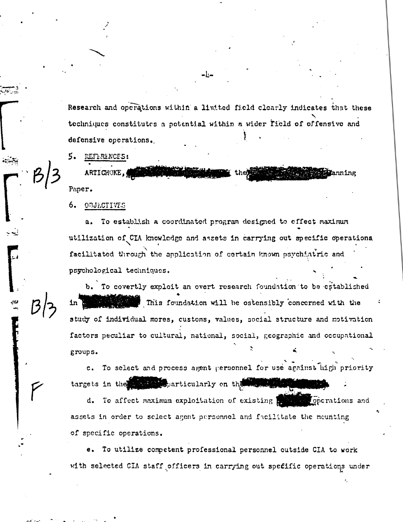Research and operations within a limited field clearly indicates that these techniques constitutes a potential within a wider field of offensive and defensive operations.

5. **REFERENCES:** 

ARTICHOKE, Paper.

6. OBJECTIVES

a. To establish a coordinated program designed to effect maximum utilization of CIA knowledge and assets in carrying out specific operations. facilitated through the application of certain known psychiatric and psychological techniques.

To covertly exploit an overt research foundation to be established Ъ. This foundation will be ostensibly concerned with the study of individual mores, customs, values, social structure and motivation factors peculiar to cultural, national, social, geographic and occupational groups.

To select and process agent personnel for use against high priority  $c_{\star}$ targets in the mass separticularly on the massive

d. To affect maximum exploitation of existing pressure operations and assets in order to select agent personnel and facilitate the meunting of specific operations.

e. To utilize competent professional personnel outside CIA to work with selected CIA staff officers in carrying out specific operations under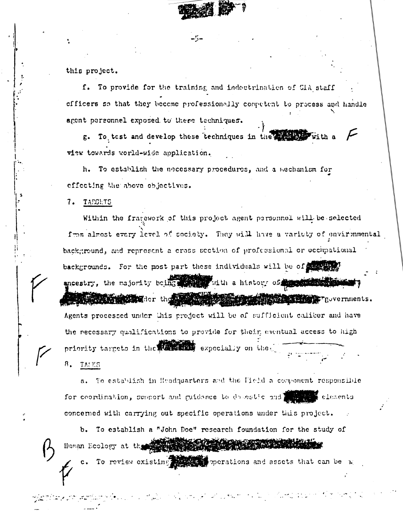

this project.

f. To provide for the training and indectrination of CIA staff officers so that they become professionally competent to process and handle agent personnel exposed to these techniques.

g. To test and develop these techniques in the service with a view towards world-wide application.

h. To establish the necessary procedures, and a mechanism for effecting the above objectives.

7. TAPGETS

Within the fragework of this project agent personnel will be selected from almost every level of society. They will have a variaty of environmental background, and represent a cross section of professional or occupational backgrounds. For the post part these individuals will be of the strip ancestry, the majority boing the right in a history of the state of **REAL AND STREET CONTRACT OF STREET AND AND ARREST PROPERTY PROPERTY.** Agents processed under this project will be of sufficient caliber and have the necessary qualifications to provide for their eventual access to high priority targets in the station expecially on the  $B_{\bullet}$  TATES

a. To establish in Huadquarters and the Field a component responsible for coordination, support and guidance to dosestic and I for the elements concerned with carrying out specific operations under this project.

b. To establish a "John Doe" research foundation for the study of Human Ecology at the street of the street of the street of the street of the street of the street of the street

c. To review existing the operations and assets that can be w

من المعلوم التي تعدد المستخدم المستخدم المستخدم المستخدم المستخدم المستخدم المستخدم المستخدم المستخدم المستخدم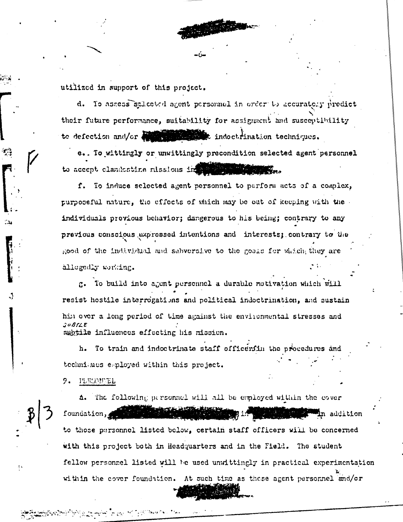utilized in support of this project.

d. To assess selected agent personnel in order to accurately predict their future performance, suitability for assignment and susceptibility to defection and/or discussion indoctrination techniques.

e.. To wittingly or unwittingly precondition selected agent personnel to accept clandestine missions in a straight the manuscript

f. To induce selected agent personnel to perform acts of a complex, purposeful nature, the effects of which may be out of keeping with the individuals previous behavior; dangerous to his being; contrary to any previous conscious expressed intentions and interests; contrary to the good of the individual and subversive to the goals for which they are allegedly working.

g. To build into agent personnel a durable motivation which will resist hostile interrogations and political indoctrination, and sustain him over a long period of time against the environmental stresses and **SURSLE** subtile influences effecting his mission.

h. To train and indoctrinate staff officerfin the procedures techniques employed within this project.

9. PLEODEL

مستعادته والمحارب والمستعار والمستعمر والمحاربة

The following personnel will all be employed within the cover Λ. foundation, **En a**ddition to those personnel listed below, certain staff officers will be concerned with this project both in Headquarters and in the Field. The student fellow personnel listed will be used unwittingly in practical experimentation within the cover foundation. At such time as these agent personnel and/or